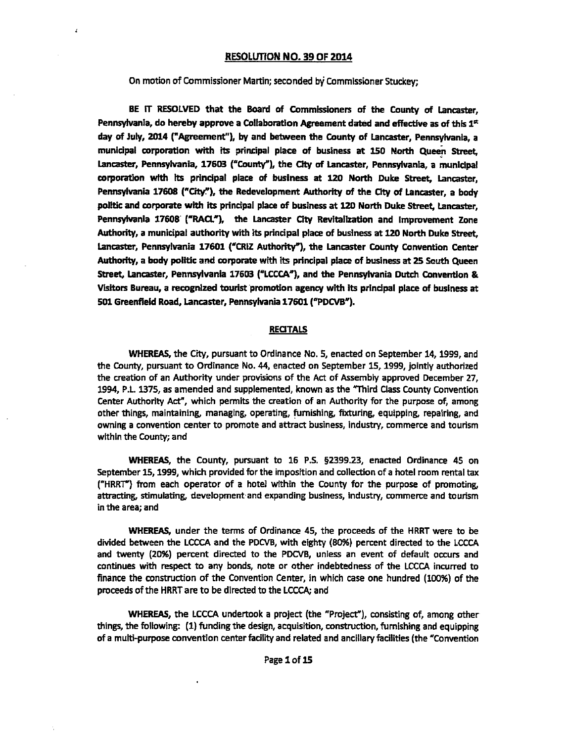### **RESOLWON NO. 39 OF 2014**

### On motion of Commissioner Martin; seconded by Commissioner Stuckey;

 $\lambda$ 

BE IT RESOLVED that the Board of Commissioners of the County of Lancaster,<br>Pennsylvania, do hereby approve a Collaboration Agreement dated and effective as of this 1<sup>st</sup> **day of** July, **2014** ("Agreement"), by and between the County of Lancaster, Pennsyfvania, a municipal corporation with its principal place of business at 150 North Queen Street, **Lwcaster,** Pennsylvania, **17603 ("County"), the** Cky **of** Lancaster, Pennsylvania, a municipal corporation Wth Its principal place **of** business at **120** North Duke Street, Lancaster, Pennsylvania 17608 ("City."), the Redevelopment Authority of the City of Lancaster, a body politic and corporate with its principal place of business at 120 North Duke Street, Lancaster, Pennsylvania **17608 ("RAU"),** the Lancaster **City** Revitaliratfon and Improvement Zone Authority, a municipal authority with its principal place of business at 120 North Duke Street. Lancaster, Pennsylvania 17601 ("CRIZ Authority"), the Lancaster County Convention Center Authority, a body politic and corporate with its principal place of business at 25 South Queen Street, Lancaster, Pennsylvania 17603 ("LCCCA"), and the Pennsylvania Dutch Convention & **VWa** Bureau, a recognized tourist promotion agency with its prindpal place **of** business **at 501** Greenfield Road, Lancaster, Pennsylvania 17601 ("PDCVB").

### **RECITALS**

**WHEREAS,** the **City,** pursuant to Ordinance No. 5, enacted on September 14,1999, and the County, pursuant to Ordinance No. 44, enacted on September 15,1999, jointly authorized the creation of an Authority under provisions of the Act of Assembly approved December 27, 1994, P.L. 1375, as amended and supplemented, known as the "Third Class County Convention Center Authority Act", which permits the creation of an Authority for the purpose of, among other things, maintaining, managing, operating, furnishing, fixturing, equipping, repairing, and owning a convention center to promote and attract business, industry, commerce and tourism within the County; and

**WHEREAS,** the County, pursuant to 16 **P.S. 92339.23,** enacted Ordinance 45 on September 15, 1999, which provided for the imposition and collection of a hotel room rental tax ("HRRT") from each operator of a hotel wlthin the County for the purpose of promoting, attracting, stimulating, development and expanding business, industry, wmmerce and tourism in the area; and

WHEREAS, under the terms of Ordinance 45, the proceeds of the HRRT were to **be**  divided between the LCCCA and the PDCVB, with eighty (80%) percent directed to the LCCCA and twenty (20%) percent directed to the PDCVB, unless an event of default occurs and continues with respect to any bonds, note or other indebtedness of the LCCCA incurred to finance the construction of the Convention Center, in which case one hundred (100%) of the proceeds of the HRRT are to be directed to the **LCCCA;** and

WHEREAS, the LCCCA undertook a project (the "Project"), consisting of, among other things, the following: (1) funding the design, acquisition, construction, furnishing and equipping of a multi-purpose convention center facility and related and ancillary facilities (the "Convention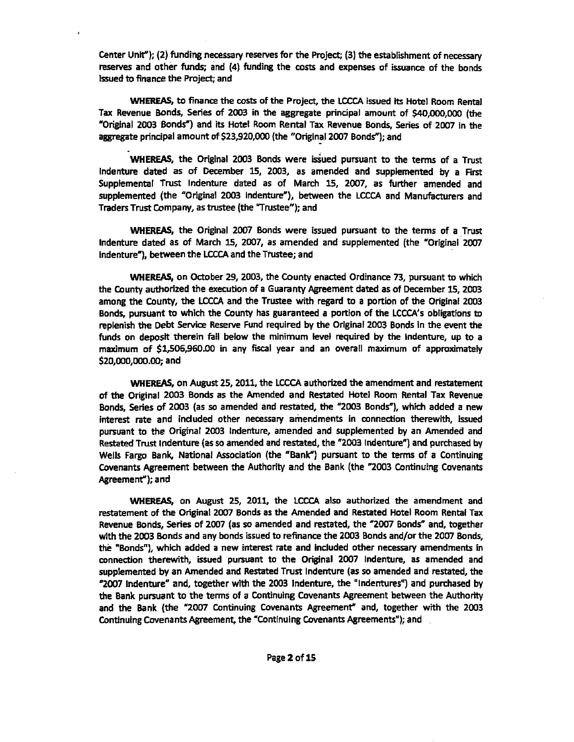Center Unit"); **(2)** funding necessary reserves for the Projea; (3) the establishment of necessary **reserves** and other funds; and (4) funding the costs and expenses of issuance of the bonds Issued to finance the Project; and

**WHEREAS,** to finance the **wsts** of the Project, the **LCCCA** issued its Hotel Room Rental Tax Revenue Bonds, Series of **2003** in the aggregate principal amount of **\$40,000,000 (the**  "Original **2003** Bonds") and its Hotel Room Rental Tax Revenue Bonds, Series of **2007** in the aggregate principal amount of \$23,920,000 (the "Original 2007 Bonds"); and

WHEREAS, the Original 2003 Bonds were issued pursuant to the terms of a Trust lndenture dated as of Oecember 15, **2003,** as amended and suppiemented **by** a First Supplemental Trust lndenture dated as of March **15, 2007,** as further amended and supplemented (the "Original **2003** indenture"), between the LCCCA and Manufacturers and Traders Trust Company, as trustee (the "Trustee"); and

WHEREAS, the Original **2007** Bonds were issued pursuant to the terms of a Trust Indenture dated as of March 15, **2007,** as amended and supplemented (the "Original **2007**  Indenture'), between the **LCCCA** and the Trustee; and

WHEREAS, on October 29, 2003, the County enacted Ordinance 73, pursuant to which the County authorized the execution of a Guaranty Agreement dated as of December **15,2003**  among the County, **the LCCCA** and the Trustee with regard to a portion of the Original **2003**  Bonds, pursuant **to** which the County has guaranteed a portion of the LCCCA's obligations to replenish the Debt **Senrice Reserve** Fund required by the Original **2003** Bonds in **the** event the funds on deposit therein fall below the minimum level required by the indenture, up to a maximum of **\$1,!506,960.00** in any fiscal year and an overall maximum of appraximately **\$zo,ooo,ooo.oo;** and

**WHEREAS,** on August **25,2011,** the LCCCA authorized the amendment and testatemem of the Original **2003** Bonds as the Amended and Restated Hotel Room Rental Tax Revenue **Bonds,** Series of **2003** (as so amended and restated, the **"2003** Bondf), which added a new interest rate and included other necessary amendments in connection therewith, issued pursuant to **the** Original **2003** Indenture, amended and supplemented by an Amended and Restated Trust Indenture (as so amended and restated, the **"2003** Indentutz'') and purchased **by**  Wells Fargo Bank, National Association (the "Bank") pursuant to the terms of a Continuing Covenants Agreement between **the** Authority and the Bank (the **"2003** Continuing Covenants Agreement"); and

WHEREAS, on August **25, 2011,** the **LCCCA** also authorized the amendment and restatement of the Original **2007** Bonds as the Amended and Restated Hotel Room Rental Tax Revenue Bonds, Series of 2007 (as so amended and restated, the "2007 Bonds" and, together with the **2003** Bonds and any bonds issued to refinance the **2003** Bonds and/or the **2007** Bonds, the "Bonds"), which added a new interest rate and included other necessary amendments in connection therewith, issued pursuant to the Original **2007** Indenture, as amended and supplemented **by** an Amended and Restated **Trust** Indenture (as so amended and restated, the **"2007** Indenture" and, together with the **2003** Indenture, the 'Indentures") and purchased by the Bank pursuant to the terms of a Continuing Covenants Agreement between the Authority and the Bank (the **"2007** Continuing Covenants Agreement" and, together **with** the **2003**  Continuing Covenants Agreement, the "Continuing Covenants Agreements"); and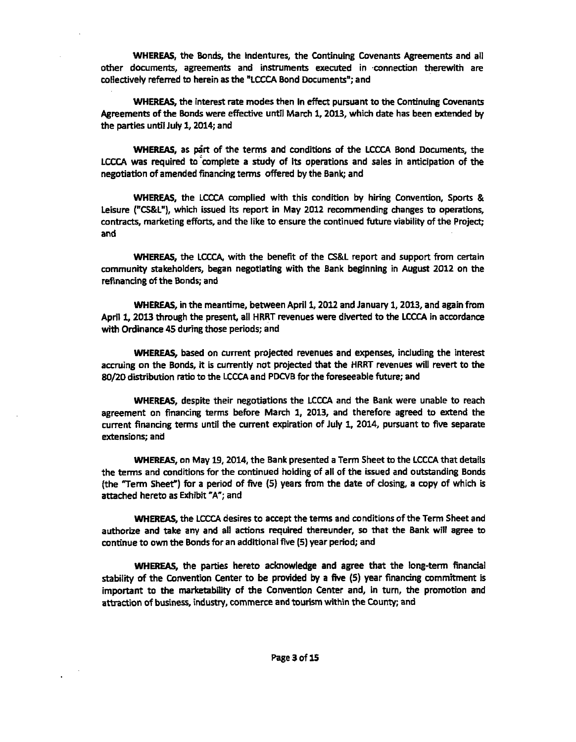**WHEREAS, the Bonds, the Indentures, the Continuing Covenants Agreements and all** other documents, agreements and instruments executed in connection therewith are collectively referred to herein as the "LCCCA Bond Documents"; and

**WHEREAS,** the interest **rate** modes then in **effect** pursuant to **the** Continuing Covenants Agreements of the Bonds were effective untJl March **1, 2OU,** which date has been **extended** by the parties until July **1,2014;** and

**WHEREAS,** as **p&** of the terms and conditions of the LCCCA Bond Documents, the LCCCA was required to'complete a study of its operations and sales in anticipation of **the**  negotiation of amended financing terms offered by the Bank; and

WHEREAS, the LCCCA complied with this condition by hiring Convention, Sports & Leisure **("CS&LU),** which issued its report in May **2012** recommending changes **to** operations, contracts, marketing efforts, and the like to ensure the continued future viability of the Project; and

**WHEREAS, the LCCCA, with the benefit of the CS&L report and support from certain** community stakeholders, began negotiating with the Bank beginning in August **2012** on the refinancing **of** the Bonds; and

**WHEREAS, in the meantime, between April 1, 2012 and January 1, 2013, and again from** April **1,20l3** through the present, all **HRRT** revenues were diverted to **the LCCCA** in accordance with Ordinance 45 during those periods; and

**WHEREAS,** based on current projected revenues and expenses, including the interest accruing on the Bonds, **it is** currently not projected that the HRRT revenues will revert to the 80/20 distribution ratio to the LCCCA and PDCVB for the foreseeable future; and

**WHEREAS,** despite their negotiations the LCCCA and the Bank were unable to reach agreement on financing **terms** before March **1, 2013,** and therefore agreed to extend the current financing tens until the current expiration of July 1, **2014,** pursuant to five separate extensions; and

**WHEREAS, on May 19, 2014, the Bank presented a Term Sheet to the LCCCA that details** the **terms** and conditions for the continued holding of all of the issued and outstanding Bonds (the "Term Sheet") for a period of five (5) years fmrn the date of closing, a copy of which **is**  attached hereto as Exhibit "A"; and

WHEREAS. the LCCCA desires to accept the terms and conditions of the Term Sheet and authorize and take any and all actions required thereunder, **so** that the Bank will agree to continue to own **the** Bonds for an additional five (5) year period; and

**WHEREAS,** the parties hereto acknowledge and agree that the long-term financial **stability of** the Convention Center to **be** provided by a five (5) year financing commitment is important to the marketability of the Convention Center and, in turn, the promotion and attraction of business, industry, commerce and tourism within the County; and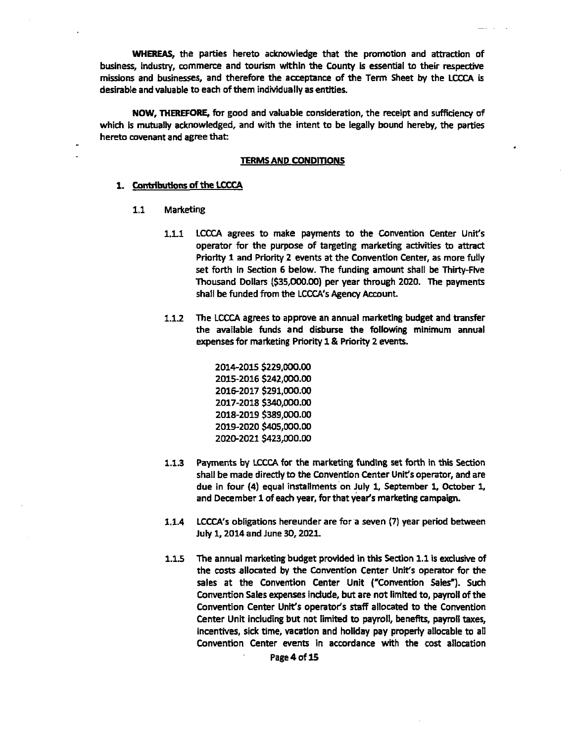**WHEREAS,** the parties hereto acknowledge that the promotion and attraction of business, industry, commerce and tourism within the County is essential to their respective missions and businesses, and therefore the acceptance of the Term Sheet **by** the LCCCA is desirable and valuable to each of them individually as entities.

NOW, **THEREFORE,** for good and valuable consideration, the receipt and sufficiency of which is mutually acknowledged, and with the intent to be legally bound hereby, the parties hereto covenant and agree that:

#### TERMS AND CONDITIONS

#### 1. **Contributions of the LCCCA**

- 1.1 Marketing
	- 1.1.1 LCCCA agrees to make payments to the Convention Center Unit's operator for the purpose of targeting marketing activities to attract Priority 1 and Priority 2 events at the Conventlon Center, as more fully set forth in Section 6 below. The funding amount shall be Thirty-Five Thousand Dollars **(\$35,000.00)** per year through 2020. The payments shall be funded from the LCCCA's Agency Account.
	- 1.12 The LCCCA agrees to approve an annual **rnarketlng** budget and bansfer the available funds and disburse the following minimum annual expenses for marketing Priority 1 & Priority 2 events.

2014-2015 \$229,000.00 2015-2016 \$242,000.00 2016-2017 \$291,000.00 2017-2018 \$340,000.00 2018-2019 \$389,000.00 2019-2020 \$405,000.00 2020-2021 \$423,000.00

- **1.1.3** Payments by LCCCA for the marketing funding set forth in this Section shall be made directly to the Convention Center Unit's operator, and are due in four (4) equal instalhents'on July 1, September **1,** October 1, and December 1 of each year, for that year's marketing campaign.
- **1.1.4** LCCCA's obligations hereunder are fora seven (7) year period between July 1,2014 and June 30,2021.
- 1.1.5 The annual marketing budget prwlded in this Section 1.1 is **excius'k** of the costs allocated by the Convention Center Unit's operator for the sales at the Convention Center Unit ("Conwention Sales"). Such Convention Sales expenses Include, but are not limited to, payroll of the Convention Center Unit's operator's staff allocated to the Convention Center Unit including **but** not limited to payroll, benefits, payroll taxes, incentives, sick time, vacation and holiday pay property allocable to aIl Convention Center events in accordance with the cost allocation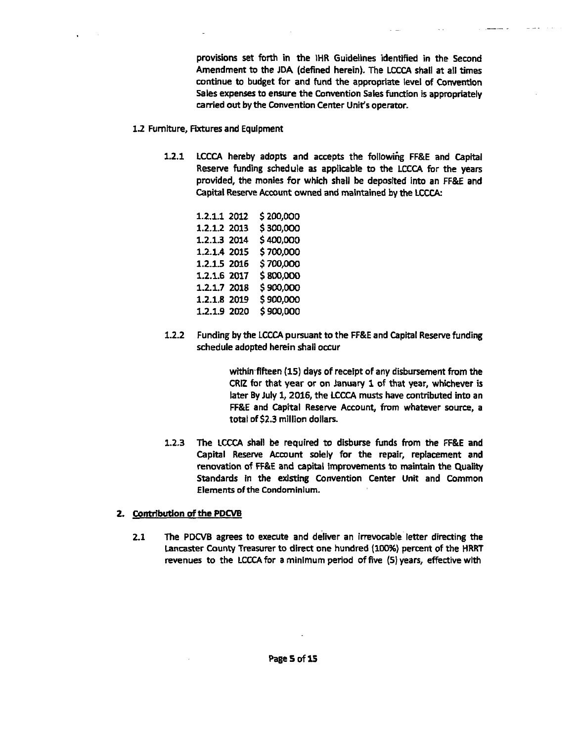provisions set forth in the IHR Guidelines identified in the Second Amendment to the JDA (defined herein). The LCCCA shall at all times continue to budget **for** and fund the appropriate level of Convention Sales expenses to ensure the Convention Sales function is appropriately carried out by the Convention Center Unit's operator.

- **12** Fumlture, Fixtures and Equipment
	- **1.2.1 LCCCA** hereby adopts and accepts **the** followihg FF&E and Capital Reserve funding schedule as applicable to the LCCCA for the years provided, the monies for which shall be deposited into an FF&E and Capital Reserve Account owned and maintained by the **LCCCA:**

1.2.1.1 2012 \$200,000 1.2.1.2 2013 \$300,000 1.2.1.3 2014 \$400,000 1.2.1.4 2015 \$700,000 1.2.1.5 2016  $$700,000$ 1.2.1.6 2017 \$800,000 1.2.1.7 2018 \$900,000 1.2.1.8 2019 \$900,000 1.2.1.9 2020 \$900,000

**1.2.2** Funding by the **LCCCA** pursuant to the FF&E and Capital Reserve funding schedule adopted herein shall occur

> within fifteen (15) days of receipt of any disbursement from the CRlZ for that year or on January 1 of that year, **whichever** is later By July **1,2016,** the **LCCCA** musts have contributed into an **FF&E** and Capital Reserve Account, **from** whatever **source,** a total of **\$2.3** million dollars.

**1.2.3** The LCCCA shall be required to disburse funds from the FF&E and Capital Reserve Account solely for the repair, replacement and renovation of **FF&E** and **capital** Improvements to maintain the Quality Standards in the existing Convention Center Unit and Common Elements of the Condominium.

## **2. Contribution of the PDCVB**

**2.1** The **PDCVB** agrees to execute and deliver an irrevocable letter directing the **Lancaster** County Treasurer to direct one hundred **(100%)** percent of the HRRT revenues to the LCCCA for a minimum period of five (5) years, effective with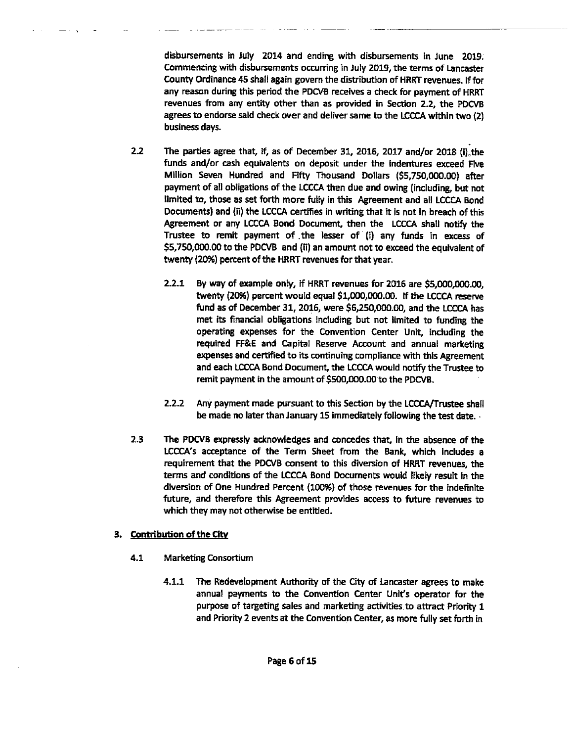disbursements in July **2014** and ending with disbursements in June **2019.**  Commencing with disbursements occurring in July 2019, the terms of Lancaster County Ordinance 45 shall again govern the distribution of HRRT revenues. If for any reason during this period the PDCVB receives a check for payment of HRRT revenues from any entity other than as provided in Section 2.2, the PDCVB agrees to endorse said check over and deliver same to the LCCCA within two (2) business days.

- **2.2** The parties agree that, if, as of December 31, 2016, 2017 and/or 2018 (i) the funds and/or cash equivalents on deposit under the indentures exceed Five Million Seven Hundred and Fifty Thousand Dollars **(\$5,750,000.00)** after payment of all obligations of **the** LCCCA then due and owing (including, but not limited to, those as set forth more fuiy in this Agreement and all LCCCA Bond Documents) and (ii) the LCCCA certifies in writing that it is not in breach of this Agreement or any LCCCA Bond Document, then the LCCCA shall notify the Trustee to remit payment of .the lesser of (i) any funds in excess of **\$5,750,000.00** to the PDCVB and **(ii)** an amount not to exceed the equivalent of twenty **(20%)** percent of **the** HRRT revenues for that year.
	- **2.2.1** By way of example only, **if** HRRT revenues for **2016 are \$5,000,000.00,**  twenty (20%) percent would equal \$1,000,000.00. If the LCCCA reserve fund as of December **31,2016,** were \$6,250,000.00, and the LCCCA has met its financial obligations including but not limited to funding the operating expenses for the Convention Center Unit, induding the required **FF&E** and Capital Reserve Account and annual marketing expenses and certified to its continuing compliance with this Agreement and **each** LCCCA Bond Document, the LCCCA would notify the Trustee to remit payment in the amount of \$500,000.00 to the PDCVB.
	- **2.2.2** Any payment made pursuant to this Section by the LCCCA/Trustee shall be made no later than January **15** immediately following the test date. .
- **2.3** The PDCVB expressly acknowledges and concedes that, fn the absence of **the**  LCCCA's acceptance of the Term Sheet from the Bank, which includes a requirement that the PDCVB consent to this diversion of HRRT revenues, the terms and conditions of the LCCCA Bond Documents would likely **result** In the diversion of One Hundred Percent **(100%)** of those revenues for the indefinite future, and therefore this Agreement provides access to **future** revenues to which they may not otherwise be entitled.

# 3. **Contribution of** the City

- 4.1 Marketing Consortium
	- 4.1.1 The Redevelopment Authority of the City of Lancaster agrees to make annual payments to the Convention Center Unit's Operator for the purpose of targeting sales and marketing activities to attract Priority **1**  and Priority **2** events at the Convention Center, as more fully set forth in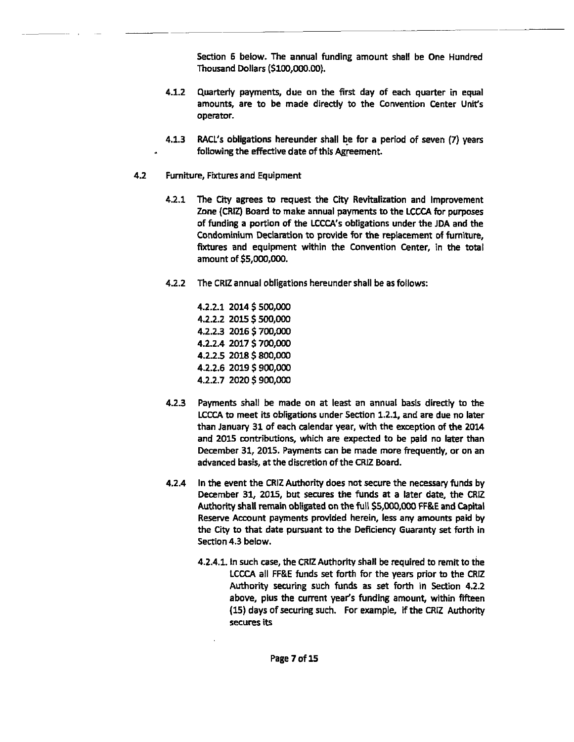Section 6 below. The annual funding amount shall be One Hundred Thousand Dollars (\$100,000.00).

- **4.1.2** Quarterly payments, due on the first day of each quarter in equal amounts, are to be made directly to the Convention Center Unit's operator.
- **4.1.3** WCL's obligations hereunder shall be for a period of seven (7) years following the effective date of this Agreement.
- **4.2 Furniture, Fixtures and Equipment** 
	- The **City** agrees to request the **City** Revitalization and Improvement  $4.2.1$ Zone (CRIZ) Board to make annual payments to the LCCCA for purposes of funding a portion of the LCCCA's obligations under the JDA and the Condominium Declaration to provide for the replacement of furniture, fixtures and equipment within the Convention Center, in the total amount of \$5,000,000.
	- $4.2.2$ The CRlZ annual obligations hereunder shall be as follows:

4.2.2.1 2014 \$500,000 4.2.2.2 2015 \$500,000 4.2.2.3 2016 \$700,000 4.2.2.4 2017 \$700,000 4.2.2.5 2018 \$800,000 4.2.2.6 2019 \$ 900,000 4.2.2.7 2020 \$900,000

- $4.2.3$ Payments shall be made on at least an annual basis directly to the **LCCCA to meet its obligations under Section 1.2.1, and are due no later** than January 31 of each calendar year, with the exception of the **2014**  and 2015 contributions, which are expected to be paid no later than December **31,2015.** Payments can be made more frequently, or on an advanced basis, at the discretion of the CRlZ Board.
- $4.2.4$ In the event the CRIZ Authority does not secure the necessary funds by December **31,** 2015, but secures the funds at a later **date,** the *CRU*  Authority shall remain obligated on the full **\$5,000,000 FF&E** and Capital Reserve Account payments provided herein, less any amounts paid by the City to that date pursuant to the Deficiency Guaranty **set** forth in Section **4.3** below.
	- **4.2.4.1.** In such case, the CRlZ Authority shall be required to remit to the LCCCA all **R&E** funds set forth for the years prior to the CRlZ Authority securing such **fonds** as set forth in Section **4.2.2**  above, plus the current year's funding amount, within fifteen **(15)** days of securing **such.** For example, if the **CRlZ** Authority secures its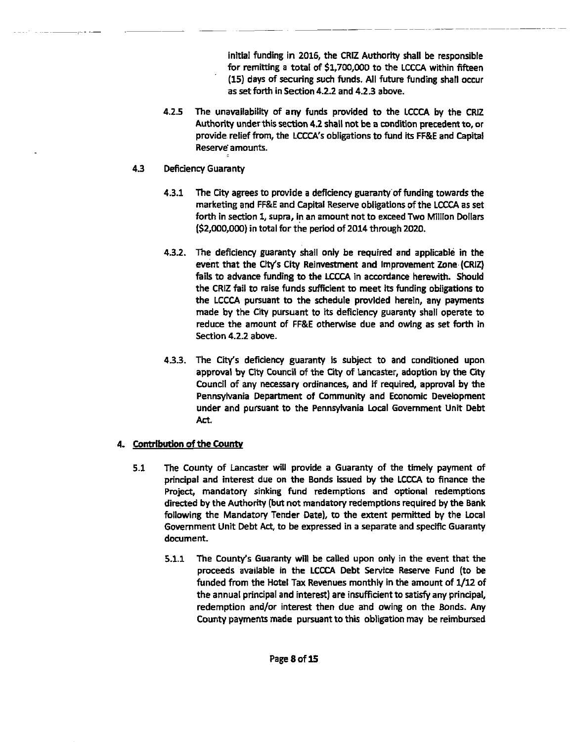initial funding in **2016,** the CRIZ Authority shall be responsible for remitting a total of **\$1,700,000** to the LCCCA within fifteen (15) days of securing such funds. All future funding shall occur as set forth in Section **4.2.2** and **4.23** above.

- **4.2.5** The unavailability of any funds provided to the LCCCA by the **CRlZ**  Authority under this section 4.2 shall not be a condition precedent to, **or**  provide relief from, the LCCCA's obligations to fund its FF&E and Capital Reserve'amounts.
- **4.3** Deficiency Guaranty
	- **4.3.1** The City agrees to provide a deficiency guaranty of funding towards the marketing and **FF&E** and Capital Reserve obligations of the LCCCA as set forth in section **1,** supra, in an amount not to exceed Two Million Dollars **(\$2,004000)** in total for the period of **2014** through **2020.**
	- **4.3.2.** The deficiency guaranty shall only be required and applicable in the event that the City's City Reinvestment and Improvement Zone (CRIZ) fails to advance funding to the LCCCA in accordance herewith. Should the CRIZ fail to raise funds sufficient to meet its funding obligations to the LCCCA pursuant to the schedule provlded herein, any payments made by the City pursuant to its deficiency guaranty shall operate to reduce the amount of **FF&E** otherwise due and owing as set forth in Section **4.2.2** above.
	- 4.3.3. The City's deficiency guaranty is subject to and conditioned upon approval by City Council of the City of Lancaster, adoption by the City Council of any necessary ordinances, and if required, approval by the Pennsylvania Department of Community and Economic Development under and pursuant to the Pennsylvania Local Government Unit Debt Act.

# **A r,ontribution of** the **County**

- **5.1** The County of Lancaster will pmvide a Guaranty of the timely payment of principal and interest due on the Bonds issued by the LCCCA to finance the Project, mandatory sinking fund redemptions and optional redemptions directed by the Authority **(but** not mandatory redemptions required by the Bank following the Mandatory Tender Date), to the extent permitted by the Local Government Unit Debt Act, to be expressed in a separate and speciflc Guaranty document.
	- **5.1.1** The County's Guaranty will be called upon only in the event that the proceeds available in the LCCCA Debt Service Reserve Fund (to be funded from the Hotel Tax Revenues monthly in the amount of **1/12** of the annual principal and interest) are insufficient to **satisfy** any principal, redemption and/or interest then due and owing on the Bonds. Any County payments **made** pursuant to this obligation may be reimbursed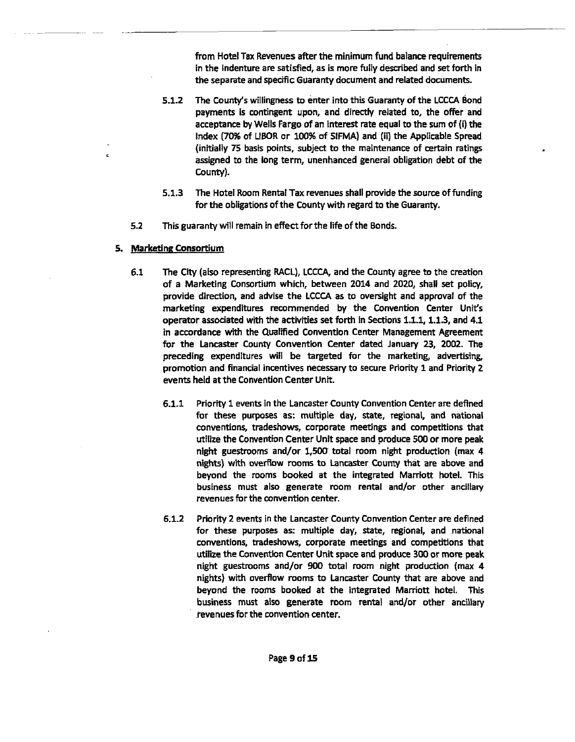from Hotel Tax Revenues after the minimum fund balance requirements in the indenture are satisfied, as is more fully described and set **forth** in **the** separate and specific Guaranty document and related documents.

- $5.1.2$ The **County's** willingness to enter into this Guaranty of the UCCA Bond payments is contingent upon, and directly related to, the offer and acceptance by Wells Fargo of an interest rate equal to the sum of (i) the Index (70% of **LIBOR** or **100%** of SIFMA) and **(ii)** the Applicabie Spread (initially 75 basis points, subject to the maintenance of certain ratings assigned to the long term, unenhanced general obligation debt of the County).
- $5.1.3$ The Hotel Room Rentat Tax revenues shall provide the source **of** funding for the obligations of the County with regard to the Guaranty.
- **5.2** This guaranty will remain in effect for the life of the Bonds.
- 5. Marketing Consortium
	- **6.1** The City (also representing RACL), **LCCCA,** and the County agree to the creation of a Marketing Consortium which, between **2014** and **2020,** shall set policy, provide direction, and advise the **LCCCA** as to oversight and appraval of the marketing expenditures recommended by the Convention Center Unit's operator associated with the activities set forth in Sections **1.1.1,1.1.3,** and **4.1**  in accordance with the Qualified Convention Center Management Agreement for the Lancaster County Convention Center dated January 23, **2002.** The preceding expendltures will be targeted for the marketing, advertising, promotion and financial incentives necessary to secure Priorfty 1 and Priority 2 events held at the Convention Center Unit.
		- $6.1.1$ Priority **1** events in the Lancaster County Convention Center **are** defined for these purposes as: multiple day, state, regional, and national conventions, tradeshows, corporate meetings and competitions that utilize the Convention Center Unit space and produce **500** or more peak night guestrooms and/or 1,500 total room night production (max 4 nights) with overflow rooms to Lancaster County that are above and beyond the rooms booked at the integrated Marriott hotel. This business must also generate room rental and/or other ancillary revenues for the convention center.
		- $6.1.2$ Priority 2 events in the Lancaster County Convention Center are defined for these purposes as: multiple day, state, regional, and national conventions, tradeshows, corporate meetings and competitions that utilize the Convention Center Unit space and produce 300 or more peak night guestrooms and/or 900 total room night production (max 4 nights) with overflow moms to Lancaster County that are above and beyond the rooms booked at the integrated Marriott hotel. This business **must** also generate room rental and/or other ancillary revenues for the convention center.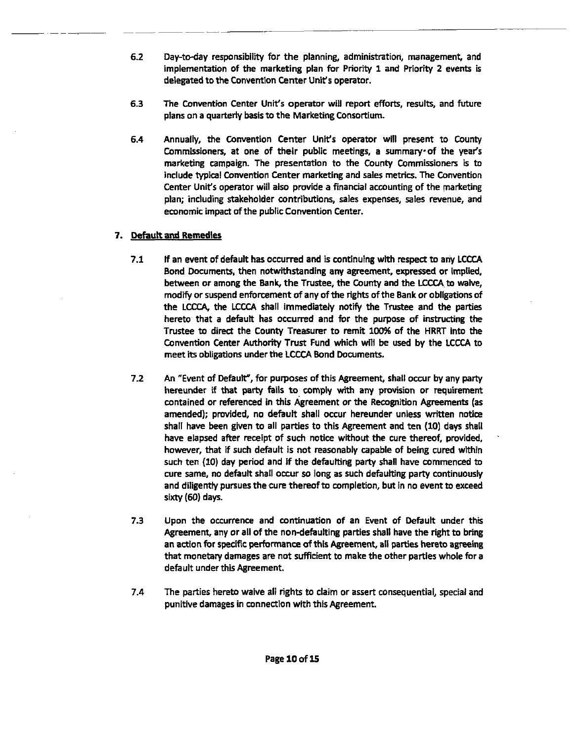- $6.2$ Day-to-day responsibility for the planning, administration, management, and implementation of the marketing plan for Priority **I** and Priority 2 events **is**  delegated to the Conventlon Center Unit's operator.
- $6.3$ The Convention Center Unit's operator will report efforts, results, and future plans on a quarterly basis to the Marketing Consortium.
- 6.4 Annually, the Convention Center Unit's operator will present to County Commissioners, at one of their public meetings, a summary of the year's marketing campaign. The presentation to the County Commissioners is to include typical Convention Center marketing and sales metrics. The Convention Center Unit's operator will also provide a financial accounting of the marketing plan; including stakeholder contributions, sales expenses, sales revenue, and economic impact **of** the public Convention Center.

# 7. **Default and** Remedies

- $7.1$ If an event of default has occurred and **is** continuing wlth respect to any LCCCA Bond Documents, then notwithstanding any agreement, expressed or implied, between or among the Bank, the Trustee, the County and the **ECCA** to **waive,**  modify or suspend enforcement of any of the rights of the Bank or obiigations of the **LCCCq** the LCCCA shall immediately notify the Trustee and the parties hereto that a defautt has occurred and for the purpose **of** instructing the Trustee to direct the County Treasurer to remit 100% of the HRRT into the Convention Center Authority Trust Fund which will be used by the LCCCA to meet its obligations under the LCCCA Bond Documents.
- $7.2$ An "Event of Default", for purposes of this Agreement, shall occur by any party hereunder **If that** party fails to comply with any provision or requirement contained or referenced in **this** Agreement or the Recognition **Agreements** (as amended); provided, no default shall occur hereunder unless written notice shall have been given to all parties to this Agreement and ten (10) days shall have elapsed after receipt of such notice without the cure thereof, provided, however, that if such default is not reasonably capable of being cured within such ten (10) day period and if the defaufting party shall have commenced to cure same, no default shall occur **so** long as such defaulting party continuously and diligently pursues the cure thereof to completion, but in no event to exceed sixty (60) days.
- $7.3$ Upon the occurrence and continuation of an Event of Default under this Agreement, any or all of the non-defaulting parties shall have the right to bring an action for specific performance of this Agreement, all **parties** hereto agreeing that monetary damages are not sufficient to make the other parties whole for a default under this Agreement.
- $7.4$ The parties hereto waive all rights to claim or assert consequential, special and punitive damages in connection wlth this Agreement.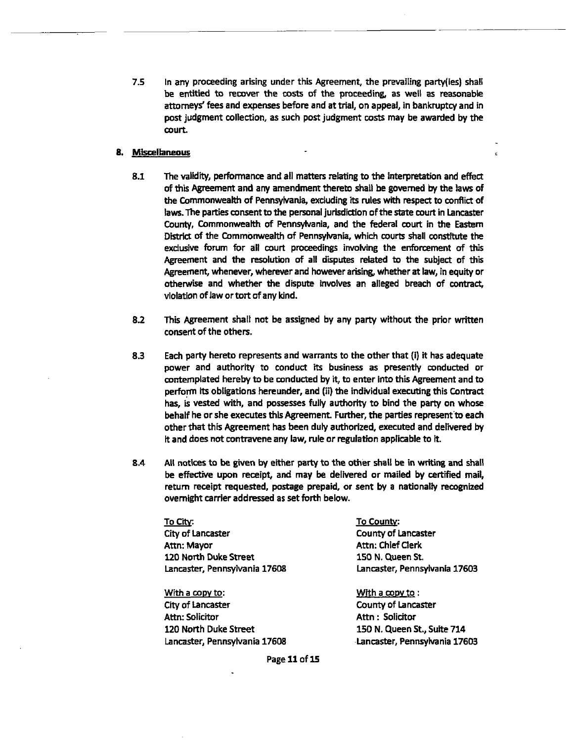**7.5** In any proceeding arising under this Agreement, the prevailing party(ies) shall **be** entitred to recover the costs of the proceeding, as well as reasonable attorneys' fees and expenses before and at trial, on appeal, in bankruptcy and in post judgment collection, **as** such post judgment **costs** may be awarded by the court.

## 8. Miscellaneous

- 8.1 The validity, performance and all matters relating to **the** interpretation and **effect**  of this Agreement and any amendment thereto shall be governed by the laws of the Commonwealth of Pennsylvania, exduding its rules with respect to confiict **of**  laws. The parties consent to **the** personal jurisdiction of the state court in Lancaster County, Commonweatth **of** Pennsylvania, and the federal court in the Eastem **via** of the Commonwealth of Pennsylvania, which courts shall constitute the **exdusiw** forum for all court proceedings involving the enforcement of this Agreement and the resolution **of** all diiputes related to the subject of this Agreement, whenever, wherever and howewr arising, whether at law, in equity or otherwise and whether the dispute involves an alleged breach of **contract,**  vlolatlon of law or tort of any kind.
- 8.2 **This** Agreement shall not be assigned by any party without the prior written consent of the others.
- 8.3 Each party hereto represents and wanants to the other that (i) it has adequate power and authority to conduct its business as presently conducted or contemplated hereby to be conducted by it, to enter into this Agreement and to perform its obligations hereunder, and (ii) the individual executing this Contract has, is vested with, and possesses fully authority to bind the party on whose behalf he or she executes this Agreement. Further, the parties represent to each other that this Agreement has been duly authorized, executed and delivered **by**  it and does not contravene any law, rule or regulation applicable to it.
- 8.4 All notlces to **be given** by either patty to the other shall be in writing and hall be effective upon receipt, and may be delivered or mailed by certified mail, return receipt requested, postage prepaid, or sent **by** a nationally recognized overnight carrier addressed as set forth below.

~o~itv: **TO** county: City of Lancaster City of Lancaster County of Lancaster Attn: Mayor Attn: Chief Clerk **120 North Duke Street 150 N. Queen St.** 

With a copy to: With a copy to: City of Laneaster County of Lancaster Attn: Solicitor **Attn** : Solicitor **UO** North Duke Street 150 N. Queen St., Suite **<sup>714</sup>** Lamaster, Pennsylvania **17608** Lancaster, Pennsylvania **17603** 

Lancaster, Pennsylvania **17608** Lancaster, Pennsylvania **17603** 

 $\epsilon$ 

Page 11 of 15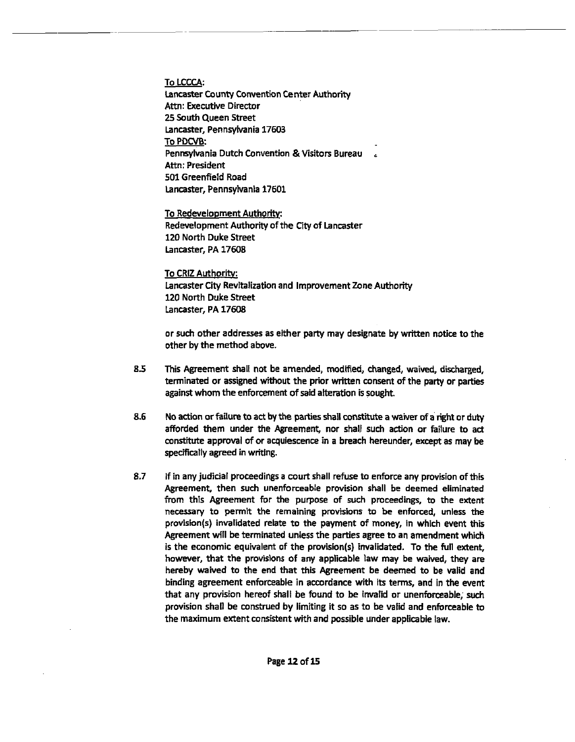To LCCCA: Lancaster County Convention Center Authority Attn: Executive Director **25 South** Queen Street Lancaster, Pennsylvania 17603 To PDCVB: Pennsylvania Dutch Convention & Visitors Bureau Attn: President 501 Greenfield Road Lancaster, Pennsylvania 17601

To Redevelopment Authority: Redevelopment Authority of **the** City of Lancaster 120 North Duke Street Lancaster, PA 17608

To CRlZ Authoritv. Lancaster City Revitalization and Improvement Zone Authority 120 North Duke Street Lancaster, PA 17608

or such other addresses as either **party** may designate by written notice to the other by the method above.

- **8.5** This Agreement shall not be amended, **modified,** changed, waived, discharged, terminated or assigned without the prior written consent of the party or **parties**  against whom the enforcement **of** said alteration is sought.
- 8.6 No action or failure to act by the parties shall constitute a waiver of a right or duty afforded them under the Agreement, nor shall such action or failure to act constitute approval of or acquiescence in a breach hereunder, except as may be spedficatly agreed in writing.
- 8.7 If in any judicial proceedings a court shall refuse to enforce any provision of this Agreement, then such unenforceable provision shall be deemed eliminated from this Agreement for the purpose of such proceedings, to the extent necessary to permit the rernatning provisions to **be** enforced, unless the provision(s) invalidated relate to the payment of money, in which event this Agreement will be terminated unless the parties agree to an amendment which is the economic equivalent of the provision(s) invalidated. To the full extent, however, that the provisions of any applicable law may **be** waived, they are hereby waived to the end that this Agreement be deemed to be valid and binding agreement enforceable in accordance with its terms, and in the went that any provision hereof shall be found to be invalid or unenforceable; such provision shall be construed by limiting it so as to be valid and enforceable to the maximum extent consistent with and possible under applicable law.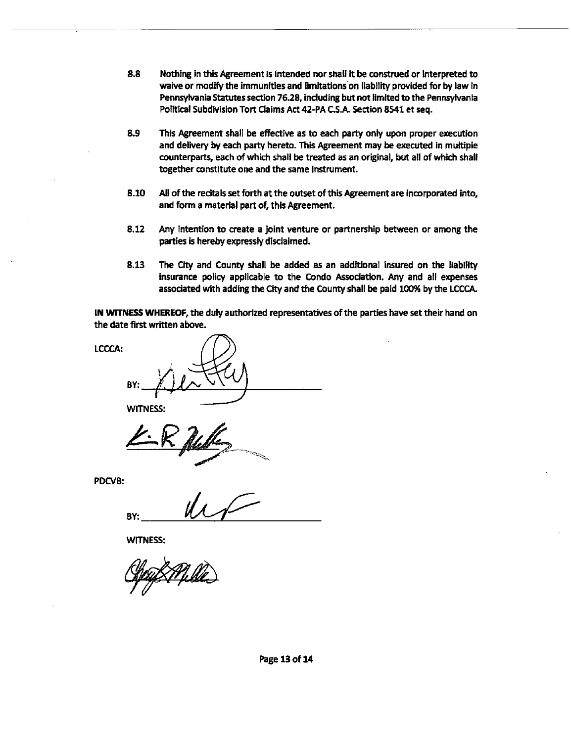- **8.8** Nothing in **thii** Agreement is intended nor shall it be construed or interpreted to waive or modify the immunities and limitations on liability provided for by law in Pennsylvania Statutes section 76.28, including but not limited to the Pennsylvania Political Subdivision Tort Claims Act 42-PA CS.A Section **8541** et seq.
- **8.9** This Agreement shall be effective as to each party only upon proper ewecution and delivery by each party hereto. This Agreement may **be** executed in multiple counterparts, each of which shall be treated as an original, but all of which shall together constitute one and the same Instrument.
- 8.10 All of the recitals set forth at the outset of this Agreement are incorporated into, and form a material part of, this Agreement.
- 8.12 Any intention to create a joint venture or partnership between or among the parties is hereby expressly disclaimed.
- **8.13** The **aty** and **County** shall be added as an additional insured on the liability insurance policy applicable to the Condo &ciation. Any and all expenses associated with adding the City and the County shall be paid 100% by the LCCCA.

IN **WITNESS WHEREOF,** the duly authorized representatives of the parties haw set their hand on the date first written above.

**LCCCA: BY: WIMESS:** 

PDCVB:

**BY:** 

**WITNESS:**